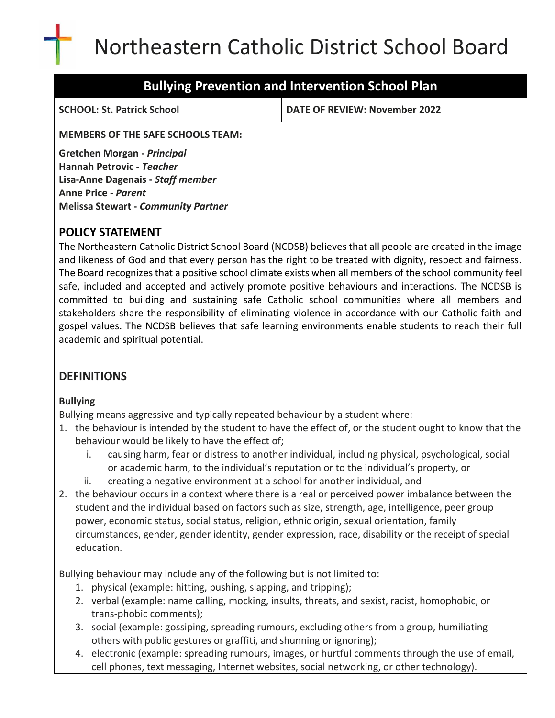# Northeastern Catholic District School Board

## **Bullying Prevention and Intervention School Plan**

**SCHOOL: St. Patrick School DATE OF REVIEW: November 2022**

**MEMBERS OF THE SAFE SCHOOLS TEAM:**

**Gretchen Morgan -** *Principal* **Hannah Petrovic -** *Teacher* **Lisa-Anne Dagenais -** *Staff member* **Anne Price** *- Parent* **Melissa Stewart -** *Community Partner*

## **POLICY STATEMENT**

The Northeastern Catholic District School Board (NCDSB) believes that all people are created in the image and likeness of God and that every person has the right to be treated with dignity, respect and fairness. The Board recognizes that a positive school climate exists when all members of the school community feel safe, included and accepted and actively promote positive behaviours and interactions. The NCDSB is committed to building and sustaining safe Catholic school communities where all members and stakeholders share the responsibility of eliminating violence in accordance with our Catholic faith and gospel values. The NCDSB believes that safe learning environments enable students to reach their full academic and spiritual potential.

## **DEFINITIONS**

## **Bullying**

Bullying means aggressive and typically repeated behaviour by a student where:

- 1. the behaviour is intended by the student to have the effect of, or the student ought to know that the behaviour would be likely to have the effect of;
	- i. causing harm, fear or distress to another individual, including physical, psychological, social or academic harm, to the individual's reputation or to the individual's property, or
	- ii. creating a negative environment at a school for another individual, and
- 2. the behaviour occurs in a context where there is a real or perceived power imbalance between the student and the individual based on factors such as size, strength, age, intelligence, peer group power, economic status, social status, religion, ethnic origin, sexual orientation, family circumstances, gender, gender identity, gender expression, race, disability or the receipt of special education.

Bullying behaviour may include any of the following but is not limited to:

- 1. physical (example: hitting, pushing, slapping, and tripping);
- 2. verbal (example: name calling, mocking, insults, threats, and sexist, racist, homophobic, or trans‐phobic comments);
- 3. social (example: gossiping, spreading rumours, excluding others from a group, humiliating others with public gestures or graffiti, and shunning or ignoring);
- 4. electronic (example: spreading rumours, images, or hurtful comments through the use of email, cell phones, text messaging, Internet websites, social networking, or other technology).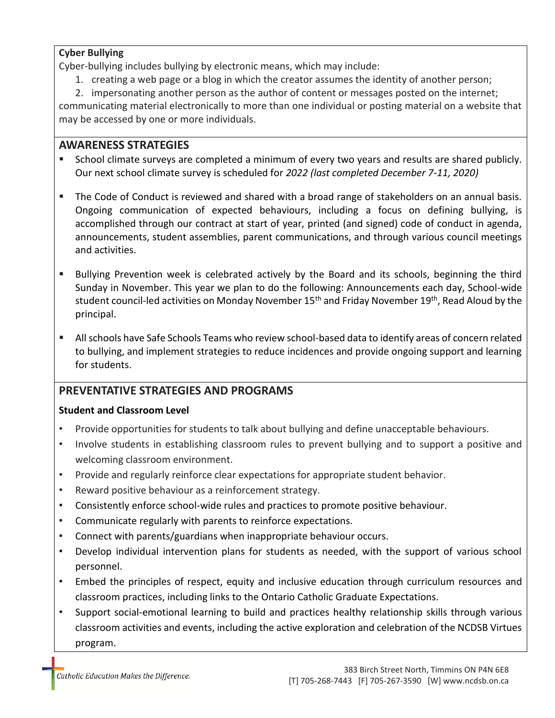#### **Cyber Bullying**

Cyber‐bullying includes bullying by electronic means, which may include:

1. creating a web page or a blog in which the creator assumes the identity of another person;

2. impersonating another person as the author of content or messages posted on the internet;

communicating material electronically to more than one individual or posting material on a website that may be accessed by one or more individuals.

## **AWARENESS STRATEGIES**

- School climate surveys are completed a minimum of every two years and results are shared publicly. Our next school climate survey is scheduled for *2022 (last completed December 7-11, 2020)*
- The Code of Conduct is reviewed and shared with a broad range of stakeholders on an annual basis. Ongoing communication of expected behaviours, including a focus on defining bullying, is accomplished through our contract at start of year, printed (and signed) code of conduct in agenda, announcements, student assemblies, parent communications, and through various council meetings and activities.
- Bullying Prevention week is celebrated actively by the Board and its schools, beginning the third Sunday in November. This year we plan to do the following: Announcements each day, School-wide student council-led activities on Monday November 15<sup>th</sup> and Friday November 19<sup>th</sup>, Read Aloud by the principal.
- All schools have Safe Schools Teams who review school-based data to identify areas of concern related to bullying, and implement strategies to reduce incidences and provide ongoing support and learning for students.

## **PREVENTATIVE STRATEGIES AND PROGRAMS**

#### **Student and Classroom Level**

- Provide opportunities for students to talk about bullying and define unacceptable behaviours.
- Involve students in establishing classroom rules to prevent bullying and to support a positive and welcoming classroom environment.
- Provide and regularly reinforce clear expectations for appropriate student behavior.
- Reward positive behaviour as a reinforcement strategy.
- Consistently enforce school-wide rules and practices to promote positive behaviour.
- Communicate regularly with parents to reinforce expectations.
- Connect with parents/guardians when inappropriate behaviour occurs.
- Develop individual intervention plans for students as needed, with the support of various school personnel.
- Embed the principles of respect, equity and inclusive education through curriculum resources and classroom practices, including links to the Ontario Catholic Graduate Expectations.
- Support social-emotional learning to build and practices healthy relationship skills through various classroom activities and events, including the active exploration and celebration of the NCDSB Virtues program.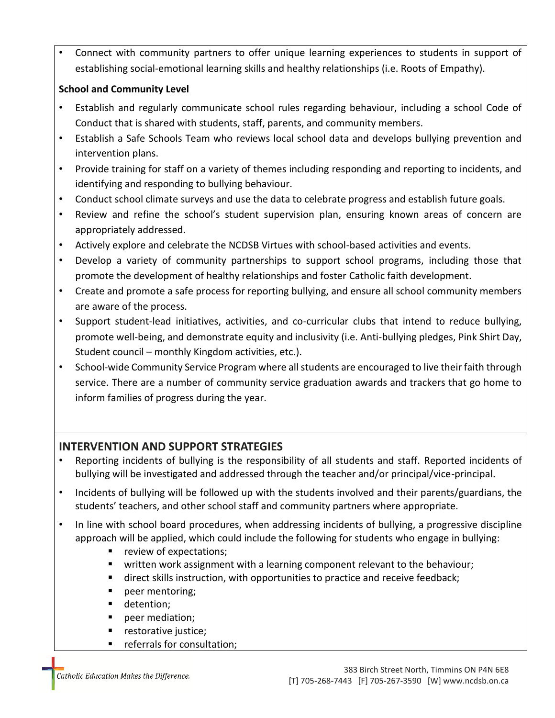• Connect with community partners to offer unique learning experiences to students in support of establishing social-emotional learning skills and healthy relationships (i.e. Roots of Empathy).

## **School and Community Level**

- Establish and regularly communicate school rules regarding behaviour, including a school Code of Conduct that is shared with students, staff, parents, and community members.
- Establish a Safe Schools Team who reviews local school data and develops bullying prevention and intervention plans.
- Provide training for staff on a variety of themes including responding and reporting to incidents, and identifying and responding to bullying behaviour.
- Conduct school climate surveys and use the data to celebrate progress and establish future goals.
- Review and refine the school's student supervision plan, ensuring known areas of concern are appropriately addressed.
- Actively explore and celebrate the NCDSB Virtues with school-based activities and events.
- Develop a variety of community partnerships to support school programs, including those that promote the development of healthy relationships and foster Catholic faith development.
- Create and promote a safe process for reporting bullying, and ensure all school community members are aware of the process.
- Support student-lead initiatives, activities, and co-curricular clubs that intend to reduce bullying, promote well-being, and demonstrate equity and inclusivity (i.e. Anti-bullying pledges, Pink Shirt Day, Student council – monthly Kingdom activities, etc.).
- School-wide Community Service Program where all students are encouraged to live their faith through service. There are a number of community service graduation awards and trackers that go home to inform families of progress during the year.

## **INTERVENTION AND SUPPORT STRATEGIES**

- Reporting incidents of bullying is the responsibility of all students and staff. Reported incidents of bullying will be investigated and addressed through the teacher and/or principal/vice-principal.
- Incidents of bullying will be followed up with the students involved and their parents/guardians, the students' teachers, and other school staff and community partners where appropriate.
- In line with school board procedures, when addressing incidents of bullying, a progressive discipline approach will be applied, which could include the following for students who engage in bullying:
	- review of expectations;
	- written work assignment with a learning component relevant to the behaviour;
	- direct skills instruction, with opportunities to practice and receive feedback;
	- peer mentoring;
	- detention;
	- peer mediation;
	- restorative justice;
	- referrals for consultation;